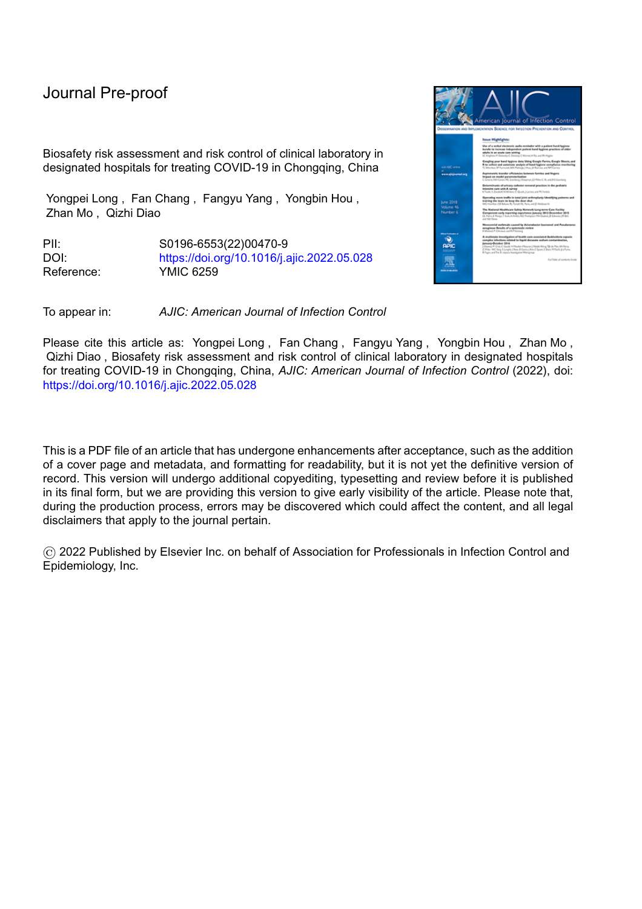Biosafety risk assessment and risk control of clinical laboratory in designated hospitals for treating COVID-19 in Chongqing, China

Yongpei Long , Fan Chang , Fangyu Yang , Yongbin Hou , Zhan Mo , Qizhi Diao

PII: S0196-6553(22)00470-9 DOI: <https://doi.org/10.1016/j.ajic.2022.05.028> Reference: YMIC 6259

To appear in: *AJIC: American Journal of Infection Control*

Please cite this article as: Yongpei Long, Fan Chang, Fangyu Yang, Yongbin Hou, Zhan Mo, Qizhi Diao , Biosafety risk assessment and risk control of clinical laboratory in designated hospitals for treating COVID-19 in Chongqing, China, *AJIC: American Journal of Infection Control* (2022), doi: <https://doi.org/10.1016/j.ajic.2022.05.028>

This is a PDF file of an article that has undergone enhancements after acceptance, such as the addition of a cover page and metadata, and formatting for readability, but it is not yet the definitive version of record. This version will undergo additional copyediting, typesetting and review before it is published in its final form, but we are providing this version to give early visibility of the article. Please note that, during the production process, errors may be discovered which could affect the content, and all legal disclaimers that apply to the journal pertain.

© 2022 Published by Elsevier Inc. on behalf of Association for Professionals in Infection Control and Epidemiology, Inc.

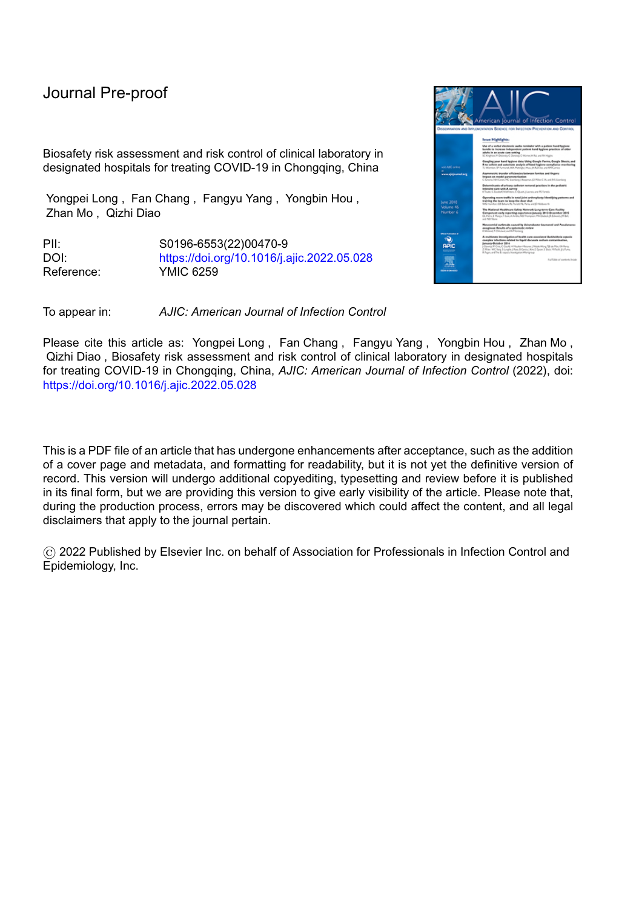# **Biosafety risk assessment and risk control of clinical laboratory in designated hospitals for treating COVID-19 in Chongqing, China**

Yongpei Long<sup>a</sup>, Fan Chang<sup>c</sup>, Fangyu Yang<sup>d</sup>, Yongbin Hou<sup>a</sup>, Zhan Mo<sup>a</sup>, Qizhi Diao<sup>a,b\*</sup>

a. Department of Clinical Laboratory Medicine, Yongchuan Hospital of Chongqing Medical University, Chongqing 402160, China.

b. Department of Clinical Laboratory Medicine, Sanya Women and Children's Hospital Managed by Shanghai Children's Medical Center, Hainan 572022, China.

c. Department of Clinical Laboratory Medicine, Sichuan Academy of Medical Sciences · Sichuan Province People's Hospital, Sichuan Province, Chengdu 610072, China.

d. Department of Clinical Laboratory Medicine, University-Town Hospital of Chongqing Medical University, Chongqing 401331, China.

\*Corresponding: Department of Clinical Laboratory Medicine, Yongchuan Hospital of Chongqing Medical University, Chongqing 402160, China; No. 439, Xuanhua Road, Yongchuan District, Chongqing, China; +86 18723242677;diaoqizhi@163.com

The authors declare no competing interests.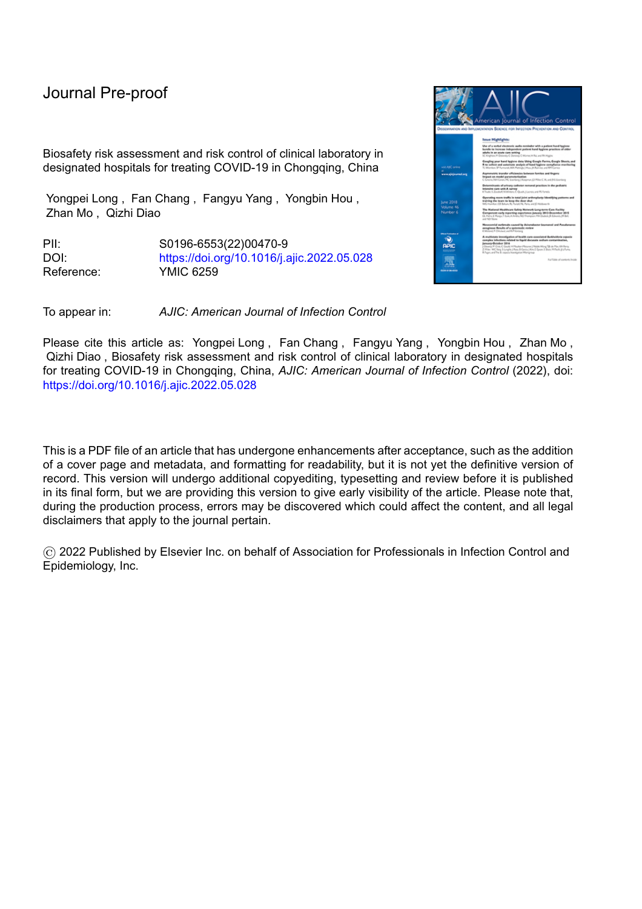### **Highlights**

- There are few reports on the biosafety risk assessment and biosafety risk control of other laboratory tests except for nucleic acid testing during the treatment of COVID-19 patients.
- In our manuscript, we emphasized the importance of risk monitoring for continuous improvement of risk management following biosafety risk assessment and biosafety risk control.
- We proposed that laboratory management should formulate appropriate but not excessive control measures when conducting biosafety risk control, and should consider whether

the control measures will bring about cross-contamination of the test.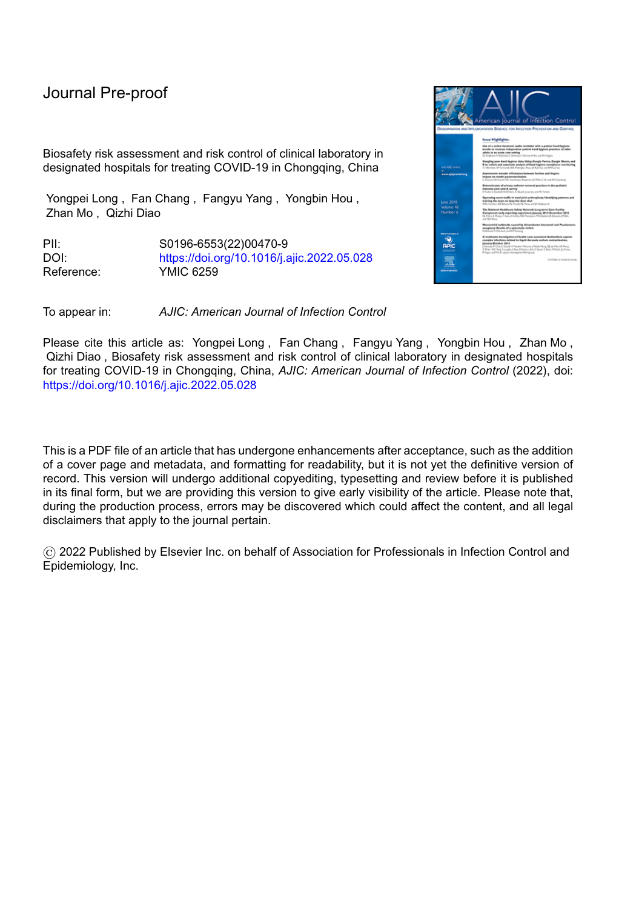### **Abstract**

### **Background**

If a nucleic acid preservation solution containing viral inactivators is used, the biosafety risk in the process of detecting the nucleic acid of severe acute respiratory syndrome coronavirus 2 (SARS-CoV-2) will be low. Patients infected with SARS-CoV-2 are sent to designated hospitals for treatment in China, except for detecting nucleic acid of SARS-CoV-2, other laboratory tests such as bacterial culture may also be carried out while the patients are being treated. However, in addition to nucleic acid testing, biosafety risks in the testing of these items for patients with coronavirus disease 2019 (COVID-19) might be ignored. Therefore, we identified and evaluated risks in these detection processes and formulated appropriate, but not excessive control measures for biosafety risk, to improve the work efficiency and prevent biosafety accidents.

### **Methods**

Biosafety risks in all laboratory tests for COVID-19 patients were identified and evaluated according to the risk severity and occurrence probability. Subsequently, the corresponding control measures for biosafety risk were formulated according to the identified risk. Hereafter, risk monitoring was carried out.

### **Results**

More than 32 risks in the entire laboratory testing process were identified and evaluated, and the residual risk after the implementation of the control measures was acceptable.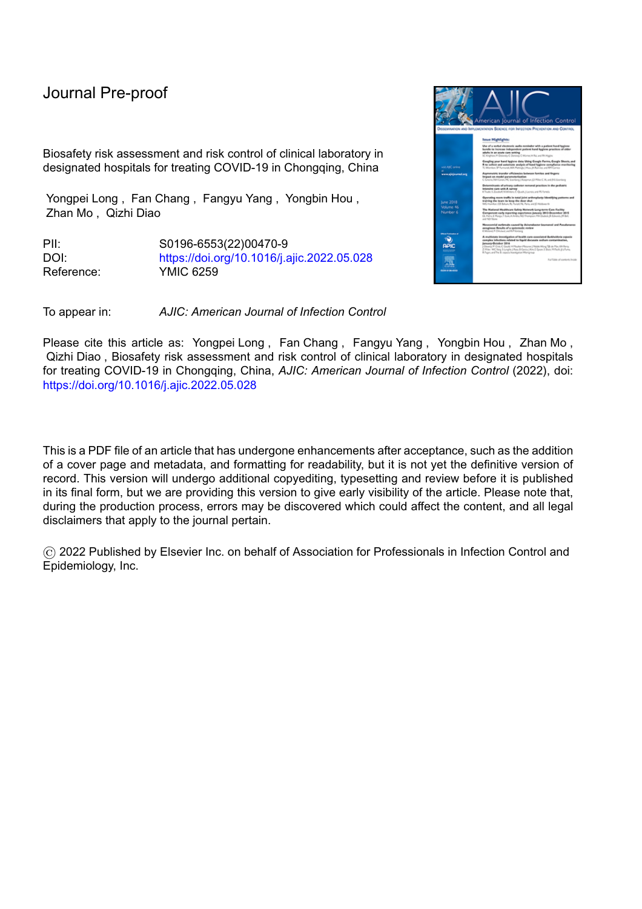### **Conclusion**

The biosafety risk assessment of laboratories in designated hospitals for treating COVID-19 should be re-implemented before testing specimens for COVID-19 patients. Risk management by risk monitoring is even more important, as it can prevent the occurrence of biosafety incidents and can continuously improve risk management.

### **Keywords**

COVID-19; designated hospital; laboratory biosafety; risk assessment; risk control

### Introduction

The outbreak of coronavirus disease 2019 (COVID-19) caused by severe acute respiratory syndrome coronavirus 2 (SARS-CoV-2) at the end of 2019 has become a global pandemic.<sup>1</sup> Chinese health authorities have adopted a series of effective measures, including nucleic acid testing of SARS-CoV-2 among large-scale populations and the timely and effective diagnosis and treatment of COVID-19, which has played a key role in the control of the epidemic in China.<sup>2,3</sup> Nevertheless, in the early stages of the epidemic, multiple occupational exposure incidents involving laboratory personnel occurred in medical laboratories in China. The main reason was that the laboratory management was not aware of the changes in the pathogenic microorganisms exposed during the test activities at the beginning of the epidemic, 4 laboratory personnel might be exposed to a novel then-unknown virus, which was subsequently named SARS-CoV-2. However, they still used the original control measures for biosafety risk, which could not control the biosafety risk posed by SARS-CoV-2. A few months after the outbreak, viral inactivators such as guanidine salts and nucleic acid lysates were contained in nucleic acid preservation solutions in China, therefore,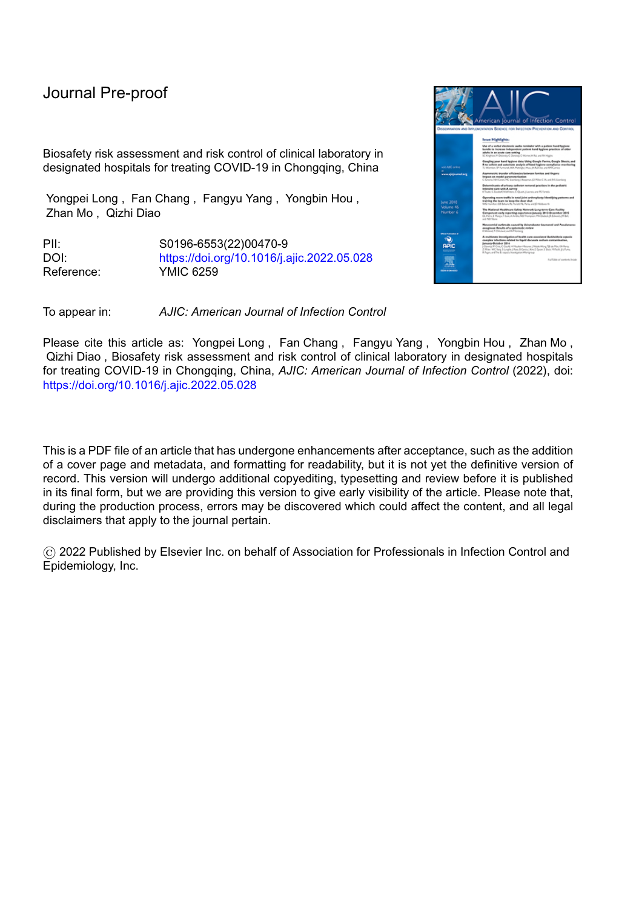l

the risk of nucleic acid testing of SARS-CoV-2 was significantly reduced. In contrast, because the sputum, fecal, and blood samples of COVID-19 patients are not virus-inactivated before testing, there is a high biosafety risk in the process of testing these samples. It is worth noting that these risks can be easily ignored by laboratory personnel and management, resulting in infection among the laboratory personnel.<sup>5</sup> In contrast, some laboratories have taken inappropriate and excessive control measures for biosafety risk against the risk of nucleic acid testing for SARS-CoV-2. For example, in the area of specimen preparation and amplification, specimens and test waste must be autoclaved according to experts in China, which not only wastes limited medical resources and reduces the work efficiency, but also leads to cross-contamination of nucleic acid testing.

Therefore, it is necessary to conduct an objective and scientific biosafety risk assessment for test activities in the clinical laboratories of hospitals designated to treat COVID-19, and further, to formulate appropriate but not excessive control measures.

Chongqing is adjacent to Hubei Province, where the epidemic originated. Since the beginning of the epidemic, our hospital (Yongchuan Hospital of Chongqing Medical University) had been one of the designated hospitals for treating COVID-19 in Chongqing. In addition to nucleic acid testing for SARS-CoV-2, the department of medical laboratory medicine was also required to undertake other laboratory tests of patients with COVID-19. Notably, during the treatment of patients with COVID-19, there was no occupational exposure incident in our clinical laboratory, and there was no incidence of crosscontamination in nucleic acid testing. Therefore, we shared our lessons learned with professionals on biosafety risk assessment and risk management in the clinical laboratories of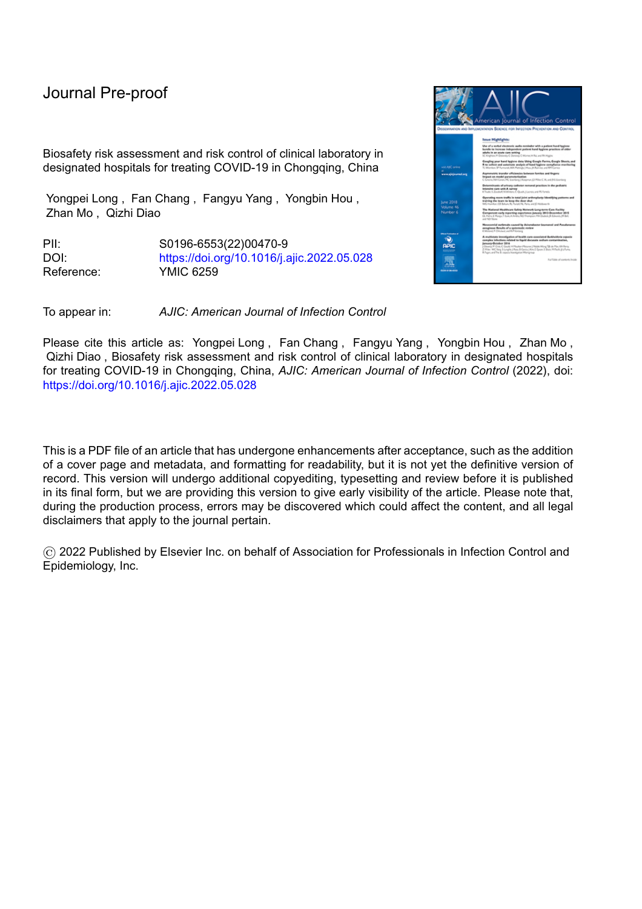designated hospitals for the treatment of patients with COVID-19.

l

## Methods

In various clinical laboratory tests of patients with COVID-19, the potential risks involved with respect to laboratory personnel (training, competence, protection.), biosafety equipment and facilities, disinfectants, the testing process of various specimens, and laboratory waste are considered as the research objects of the biosafety risk assessment.

First, the characteristics of SARS-CoV-2 were understood, including the degree of hazards, biological characteristics, transmission and infection characteristics, virulence, stability in the environment, and prevention and diagnosis programs. Second, using the fishbone diagram method, the potential risks of the seven elements involved in the test activities were identified, evaluated, controlled, and monitored (as shown in Fig.1).



### Fig.1 The fishbone diagram of risk identification.

 BSC: biological safety cabinet; UV: ultraviolet; NAT: nucleic acid testing; AST: antimicrobial susceptibility test.

The acceptable range of biosafety risk should be determined before risk assessment by laboratory management; additionally, we considered a hazard level within 5 as the acceptable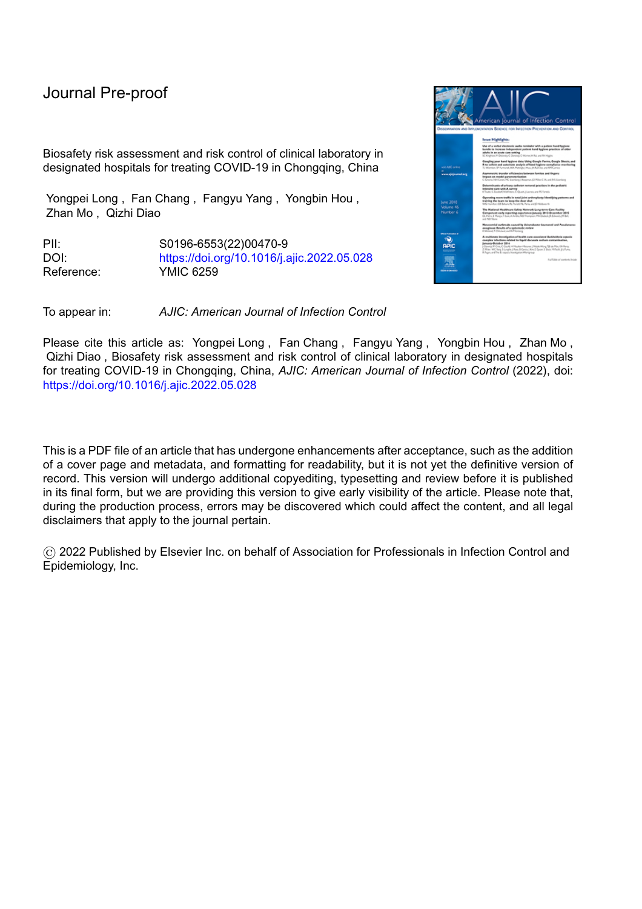l

range. A biosafety risk evaluation was carried out referring to the "Laboratory Biosafety Manual (Fourth Edition)" published by WHO,<sup>6</sup> which adopted the quantification procedure of hazard degree (hazard degree = severity  $\times$  probability of occurrence) to quantify the hazard degree of each biosafety risk. The severity of the biosafety risk was divided into five levels: no harm, minor, moderate, major, and catastrophic, and was scored as 1, 2, 3, 4, and 5, respectively. The probability of occurrence was divided into five levels: impossible, uncommon, occasional, frequent, and inevitable, and was scored as 1, 2, 3, 4, and 5, respectively. Subsequently, it was compared with the established acceptable range to determine whether the risk was acceptable. For unacceptable risks, appropriate control measures for biosafety risk were formulated and implemented to minimize the risk from the two aspects of reducing risk severity and (or) probability of risk occurrence. The residual risk is subsequently evaluated as a whole to form a biosafety risk assessment report.

After the initial biosafety risk assessment was completed, we regularly maintained the risk management in our laboratory. As Chinese health authorities have successively announced the environmental stability and respiratory transmission route of SARS-CoV-2, and determined our hospital as one of the hospitals designated to treat COVID-19, we have initiated risk assessment several times on this basis. Additionally, we also monitored the exposure and infection of laboratory personnel by conducting daily nucleic acid testing for SARS-CoV-2. Cross-contamination was monitored by setting three negative controls in each batch of testing. Some methods were used to identify unidentified risks and evaluate the continuous suitability of control measures for biosafety risk, such as real-time dynamic monitoring of the changes in test activities and test specimens, monthly biosafety self-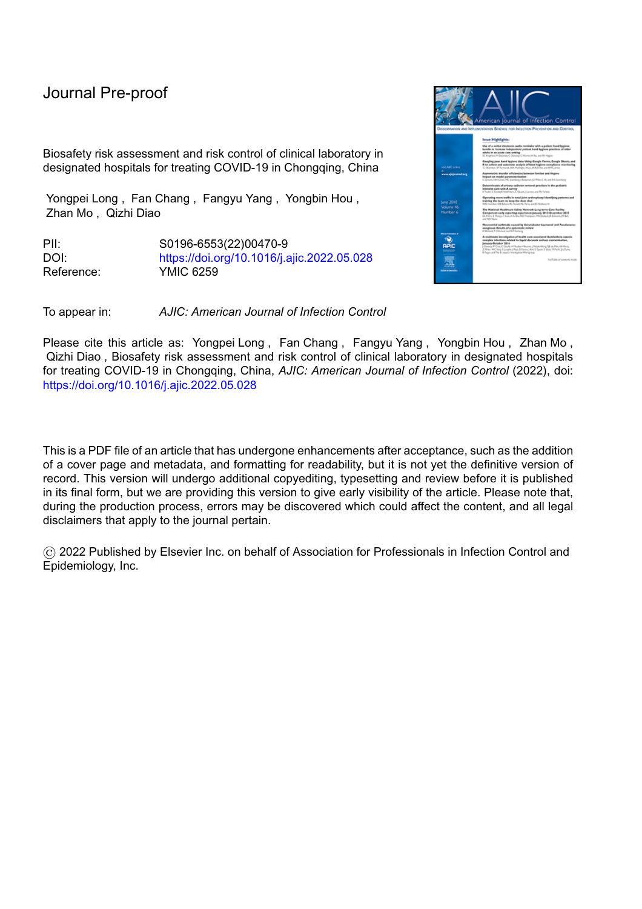l

inspection, annual biosafety risk review and analysis, and a summary of laboratory incidents. This was done to achieve the purpose of continuous improvement of biosafety risk management (The timeline is shown in Fig. 2).



Fig. 2 Timeline for starting biosafety procedures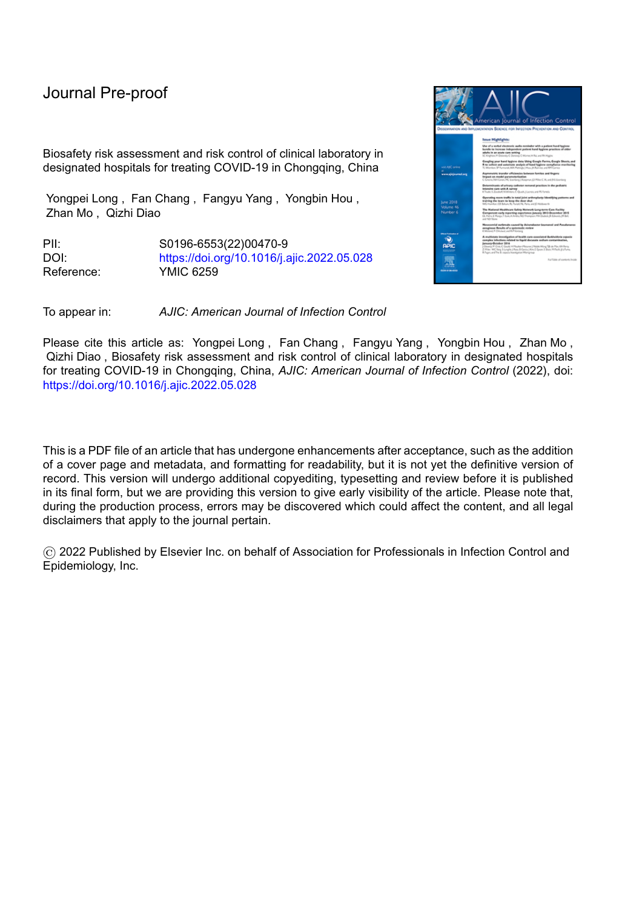### Results

### Characteristics of SARS-CoV-2

l

SARS-CoV-2 is a pathogenic microorganism with a secondary hazard level and high transmissibility. Transmission occurs mainly through respiratory droplets and contact.<sup>7</sup> Current research has shown that the virus is sensitive to ultraviolet (UV) rays, heat, 75% alcohol, chlorine-containing disinfectants, hydrogen peroxide, diethyl ether, and other fatty solvents.<sup>8</sup> The virus can be inactivated by heating at 56 °C for 30 min<sup>9</sup>; however, it cannot be effectively inactivated by chlorhexidine.<sup>10</sup> Fever, fatigue, and dry cough are the most common symptoms of infection.<sup>11</sup> To date, effective vaccines and therapeutic drugs have been developed. 12,13

Test activities carried out in the clinical laboratory

The test activities of clinical laboratories to be undertaken include specimen reception, specimen processing, specimen testing, waste disposal, etc. The types of specimens from patients with COVID-19 include upper respiratory, lower respiratory, blood, urine, body fluid, and fecal specimens. The test items for the patients in the clinical laboratory include clinical hematology testing, clinical body fluid (including feces) testing, clinical chemistry testing, clinical immunology testing, the microbial culture of respiratory specimens (including sputum), nucleic acid testing of SARS-CoV-2, and immune cell (CD3/CD4) testing.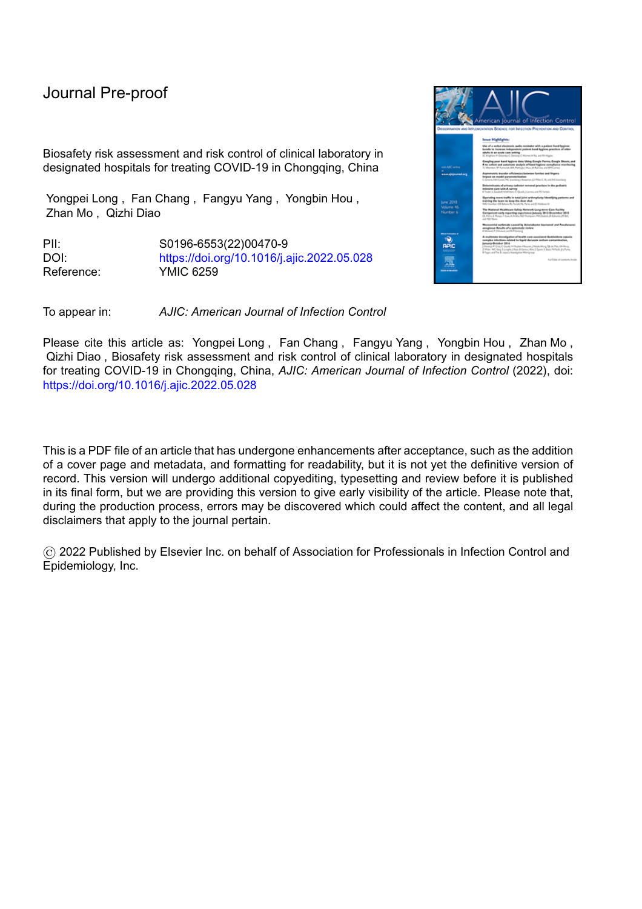l

We identified 32 risks in total, all of which had a hazard level greater than 5. Risk 1 existed in laboratory personnel, risks 2-4 existed in biosafety equipment, risks 5-6 existed in disinfectants, risks 7-11 existed in facilities and the environment, risks 12-25 existed in the process of laboratory tests, risks 26-30 existed in waste after testing, and risks 31-32 existed in emergency procedures. After formulating and implementing corresponding control measures for biosafety risk, the residual risks were within the acceptable range (Table 1, Table 2, and Table 3).

During the biosafety risk monitoring, no unidentified risks were identified. The established control measures for biosafety risk were appropriate and did not cause crosscontamination. Nearly several months after the initial biosafety risk assessment and biosafety risk control were implemented, the nucleic acid preservation solutions were changed from containing no viral inactivators to containing viral inactivators in China. So on conducting risk monitoring, we found that some biosafety risks we originally identified did not exist anymore, and the original protection measures for nucleic acid testing were excessive protection, including wearing N95 masks, double-layer latex gloves, goggles, shoe covers, isolation clothing, and protective clothing. After reassessing the risk, the protective measures were changed to wearing medical protective masks, single-layer gloves, goggles, isolation clothing, or protective clothing. (as noted with " " in Table 1).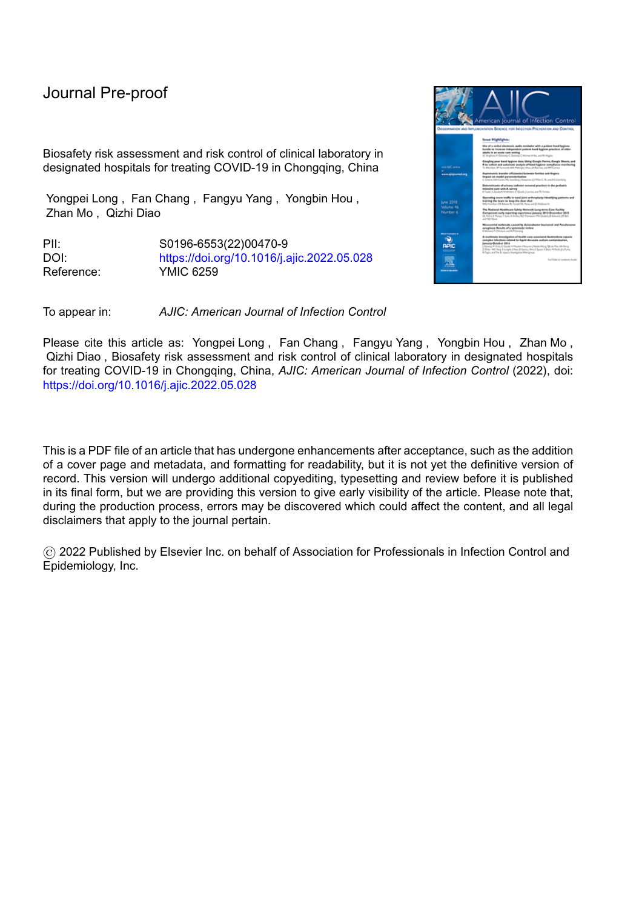l

| Potential risk   | Risk identification                                                              | <b>Notes</b> |
|------------------|----------------------------------------------------------------------------------|--------------|
| number           |                                                                                  |              |
| $\mathbf{1}$     | Laboratory personnel are not trained in relevant biosafety knowledge or do       |              |
|                  | not take appropriate protection when entering the laboratory for operation,      |              |
|                  | resulting in the risk of environmental contamination, occupational exposure,     |              |
|                  | or other people infected.                                                        |              |
| $\boldsymbol{2}$ | There is a risk of personal infection or environmental contamination due to      |              |
|                  | malfunction of the airflow or filtration of the biological safety cabinet        |              |
|                  | (BSC).                                                                           |              |
| $\mathbf{3}$     | The BSC and the pipettes are not disinfected after use, resulting in the risk of |              |
|                  | personnel infection or environmental contamination.                              |              |
| 4                | There is a risk of environmental contamination due to the malfunction of the     |              |
|                  | autoclave and the disinfection effect is not achieved.                           |              |
| 5                | The concentration of laboratory disinfectants is improperly selected and the     |              |
|                  | disinfection effect is not achieved, resulting in the risk of environmental      |              |
|                  | contamination, or personnel infection.                                           |              |
| 6                | The 75% alcohol or chlorine-containing disinfectant has been placed for too      |              |
|                  | long, the concentration has decreased, and the disinfection effect has not       |              |
|                  | been achieved, resulting in the risk of environmental contamination, or          |              |
|                  | personnel infection.                                                             |              |
| 7                | The intensity of the UV lamp does not meet the standard in the testing           |              |
|                  | laboratory, resulting in the risk of personnel infection or environmental        |              |
|                  | contamination.                                                                   |              |
| 8                | The eyewash device is malfunctioning and the eyes cannot be washed in            |              |
|                  | time when occupational exposure occurs, resulting in the risk of personnel       |              |
|                  | infection.                                                                       |              |
| 9                | The external personnel enter the laboratory by mistake, resulting in the risk    |              |
|                  | of personnel infection.                                                          |              |
| 10               | Air escape from the sample preparation room in the nucleic acid testing          |              |
|                  | laboratory, resulting in the risk of contaminating other areas.                  |              |
| 11               | The pressure difference between nucleic acid testing laboratories is             |              |
|                  | abnormal, resulting in the risk of environmental contamination.                  |              |
| 12               | The laboratory room is not disinfected after testing, resulting in the risk of   |              |
|                  | personnel infection due to contaminated items or air.                            |              |
| 13               | During the process of specimen reception, there is a risk that the personnel's   |              |
|                  | hands are contaminated by the specimen tubes, which are contaminated             |              |
|                  | during specimen collection.                                                      |              |
| 14               | During the indoor transfer of respiratory specimens and fecal specimens,         |              |
|                  | there is a risk of personnel infection.                                          |              |
| 15               | During the indoor transfer of respiratory specimens and fecal specimens,         |              |
|                  | there is a risk of specimen spillage causing environmental contamination.        |              |
| 16               | During the process of operation in the BSC, there is a risk of contaminating     |              |
|                  | the environment or items by hands contaminated when remove from the              |              |
|                  | BSC.                                                                             |              |
| 17               | During the process of nucleic acid extraction, there is a risk of personnel      |              |
|                  | infection or environmental contamination due to aerosols generated in the        |              |
|                  | process of shaking.                                                              |              |
| 18               | During the process of nucleic acid extraction, there is a risk of specimen       |              |
|                  | spillage causing the contamination of the countertop or gloves.                  |              |
| 19               | During the process of specimen centrifugation, there is a risk of personnel      |              |
|                  | infection or environmental contamination due to the generated aerosols.          |              |
| 20               | During the process of specimen addition, there is a risk of personnel            |              |
|                  | infection due to generated aerosols.                                             |              |
|                  |                                                                                  |              |
| 21               | During the process of specimen addition, there is a risk of specimen spillage    |              |
|                  | causing the contamination of the countertop or gloves.                           |              |
| 22               | During the testing process of fecal specimens, there is a risk of personnel      |              |
|                  | infection due to the aerosols generated by smear and risk of environmental       |              |
|                  |                                                                                  |              |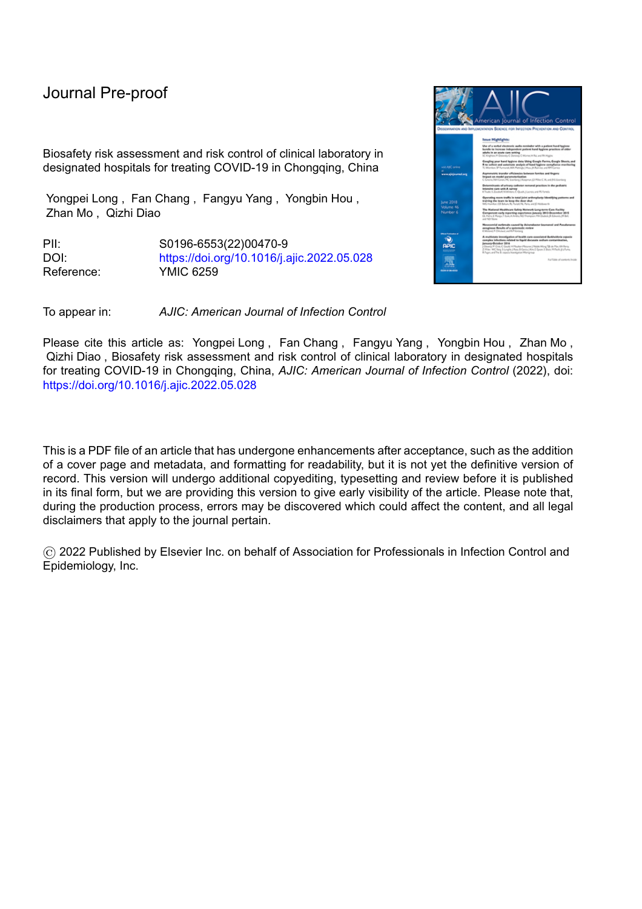contamination owing to specimen or laboratory wastes after testing being taken out of the laboratory without disposal.

**23** During the microscopic examination of fecal specimens, there is a risk of the lens and stage of the microscope being contaminated by the specimen.

l

- **24** During the process of culture, the identification, and antimicrobial susceptibility test of respiratory specimens and fecal specimens, there is a risk of personnel infection due to aerosols generated by specimen addition or specimens splashing into the eyes.
- **25** During the process of observing the colonies of bacterial cultures of respiratory specimens and fecal specimens, there is a risk of personnel infection due to aerosols.
- **26** During the process of nucleic acid testing, there is a risk of environmental contamination owing to laboratory wastes in the BSC being taken out of the laboratory without disposal.
- **27** During the process of culture, identification, and antimicrobial susceptibility test of respiratory specimens and fecal specimens, there is a risk of personnel infection or environmental contamination owing to laboratory wastes in the BSC being taken out of the laboratory without disposal.
- **28** During the process of nucleic acid testing, there is a risk of environmental contamination owing to laboratory wastes in the sample preparation room, specimens after testing, and personal protective equipment being taken out of the laboratory without disposal.
- **29** The specimen after the nucleic acid testing is lost, resulting in the risk of personnel infection or environmental contamination.
- **30** The respiratory specimen after the bacterial culture is lost, resulting in the risk of personnel infection or environmental contamination.
- **31** During the formulation of the emergency procedures, the factors of biosafety risk are ignored or the emergency response measures are inappropriate, resulting in the risk of the occurrence of major or catastrophic biosafety incidents.
- **32** When a biosafety incident occurs, the on-site personnel are not familiar with the disposal process in the emergency procedures, resulting in the risk of causing harm to the environment and human health.

Notes: means that the risk does not exist if the specimen preservation solutions contain viral inactivators, such as guanidine salts or nucleic acid lysates.

### **Table 1. Identification of laboratory biosafety risks**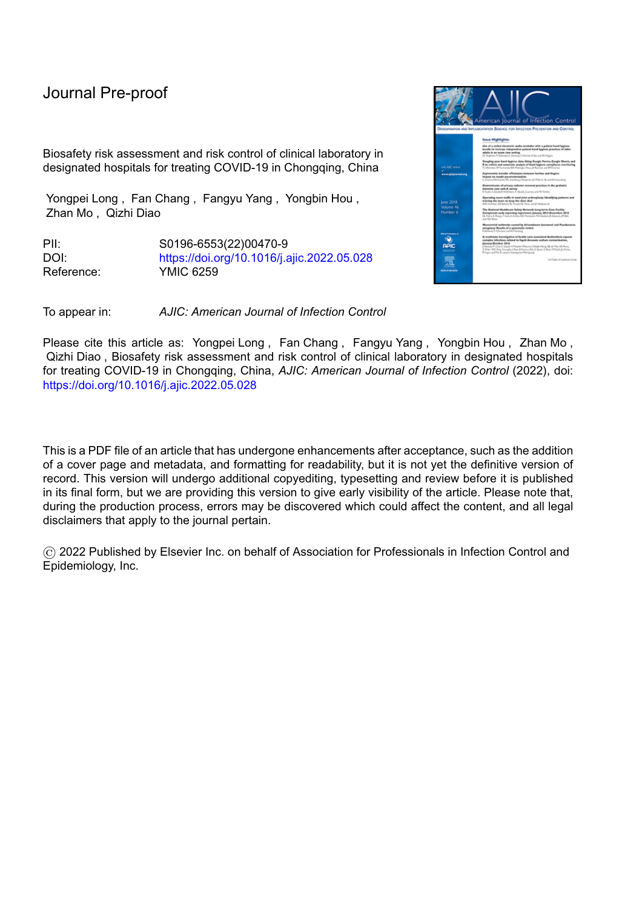l

| Potential risk number   | Severity                  | Probability               | Hazard degree    |
|-------------------------|---------------------------|---------------------------|------------------|
| $\mathbf 1$             | 5                         | $\overline{4}$            | $20\,$           |
| $\overline{\mathbf{2}}$ | $\overline{\mathbf{4}}$   | $\overline{c}$            | 8                |
| 3                       | $\overline{\mathbf{4}}$   | $\mathfrak{S}$            | 12               |
| $\overline{\mathbf{4}}$ | $\overline{\mathbf{4}}$   | $\overline{c}$            | $\bf 8$          |
| 5                       | $\overline{\mathbf{4}}$   | $\mathbf{3}$              | 12               |
| $6\phantom{a}$          | $\overline{\mathbf{4}}$   | $\overline{\mathbf{4}}$   | $16\,$           |
| $\overline{7}$          | $\ensuremath{\mathsf{3}}$ | $\ensuremath{\mathsf{3}}$ | $\boldsymbol{9}$ |
| 8                       | $\overline{\mathbf{4}}$   | $\overline{\mathbf{4}}$   | $16 \,$          |
| 9                       | $\overline{\mathbf{4}}$   | $\ensuremath{\mathsf{3}}$ | 12               |
| 10                      | $\overline{\mathbf{4}}$   | 3                         | 12               |
| $11$                    | $\overline{\mathbf{4}}$   | $\boldsymbol{2}$          | $\bf 8$          |
| 12                      | $\mathfrak{S}$            | 3                         | $\boldsymbol{9}$ |
| 13                      | $\mathbf 5$               |                           | $20\,$           |
| 14                      | $\overline{\mathbf{r}}$   | $\overline{\mathbf{4}}$   | $16 \,$          |
| $15\,$                  | $\overline{\mathbf{4}}$   | $\overline{3}$            | 12               |
| 16                      | 5                         | $\overline{\mathbf{r}}$   | $20\,$           |
| 17                      | $\overline{5}$            | 5                         | 25               |
| 18                      | 4                         | $\mathfrak{S}$            | 12               |
| 19                      | 4                         | 5                         | $20\,$           |
| 20                      | 4                         | $\overline{\mathbf{4}}$   | $16\,$           |
| 21                      | 4                         | $\overline{\mathbf{4}}$   | $16 \,$          |
| 22                      | 4                         | $\overline{\mathbf{4}}$   | $16 \,$          |
| 23                      | $\overline{\mathbf{r}}$   | 4                         | $16\,$           |
| 24                      | 4                         | $\mathbf 5$               | $20\,$           |
| 25                      | $\overline{\mathbf{4}}$   | 5                         | $20\,$           |
| 26 <sup>°</sup>         | $\overline{\mathbf{4}}$   | $\mathfrak{S}$            | 12               |
| 27                      | $\overline{\mathbf{4}}$   | $\mathfrak{S}$            | 12               |
| 28                      | $\overline{\mathbf{4}}$   | $\mathbf{3}$              | 12               |
| 29                      | 5                         | $\mathfrak{S}$            | $15\,$           |
| $30\,$                  | $\overline{\mathbf{4}}$   | $\overline{\mathbf{4}}$   | $16\,$           |
| 31                      | 5                         | $\overline{\mathbf{4}}$   | $20\,$           |
| 32                      | $\overline{\mathbf{4}}$   | $\overline{3}$            | 12               |

**Table 2. Evaluation of laboratory biosafety risks**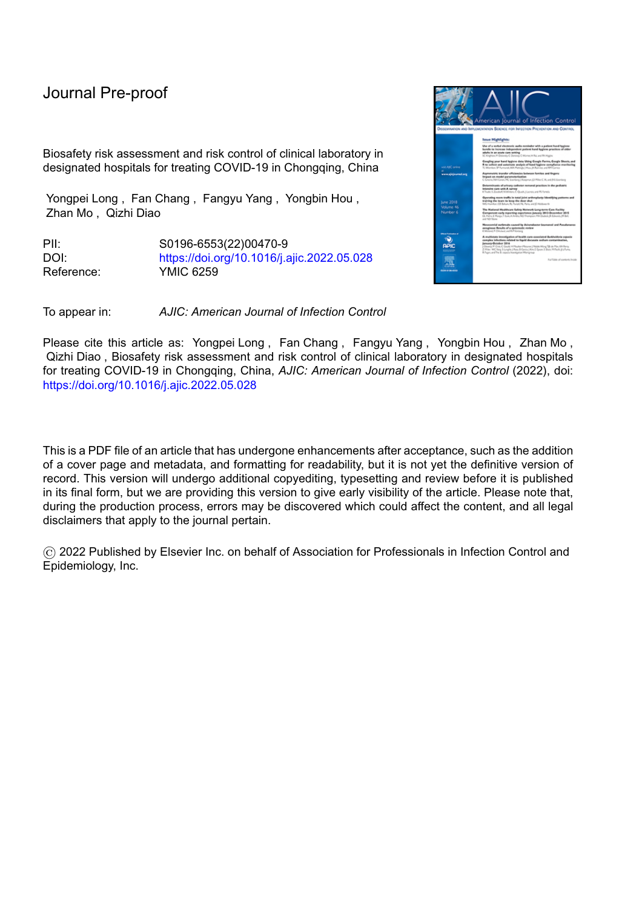| Potential risk<br>number      | Control measures                                                                                                                                                                                                                                                                                                                                                                                                                                                                                                                                                                                                                                                                                                                                                                |
|-------------------------------|---------------------------------------------------------------------------------------------------------------------------------------------------------------------------------------------------------------------------------------------------------------------------------------------------------------------------------------------------------------------------------------------------------------------------------------------------------------------------------------------------------------------------------------------------------------------------------------------------------------------------------------------------------------------------------------------------------------------------------------------------------------------------------|
| 1                             | The qualifications of the laboratory testing personnel should be stipulated. A system<br>of training, examination, and authorization should be established. Before engaging in                                                                                                                                                                                                                                                                                                                                                                                                                                                                                                                                                                                                  |
|                               | testing, the laboratory testing personnel should be re-trained in biosafety risk<br>assessment, protection levels, procedures for putting on and taking off personal<br>protective equipment, and emergency procedures. Only after passing the examination<br>can they be authorized to engage in testing work.                                                                                                                                                                                                                                                                                                                                                                                                                                                                 |
| $\boldsymbol{2}$              | A standard operating procedure (SOP) should be established for the BSC, including<br>the maintenance, the periodic calibration of the BSC, user training, etc. The wind<br>direction and filtering function of BSC should be monitored before use, the<br>maintenance of BSC should be performed periodically and the calibration should be                                                                                                                                                                                                                                                                                                                                                                                                                                     |
| 3                             | performed once a year.<br>An SOP should be established and it should be stipulated that 75% alcohol should be<br>used to spray and disinfect the inner wall of the BSC and the pipette after each test.                                                                                                                                                                                                                                                                                                                                                                                                                                                                                                                                                                         |
| $\overline{\mathbf{4}}$       | An SOP should be established for the autoclave, including the maintenance, the<br>periodic calibration of the autoclave, user training, etc. Physical and chemical<br>monitoring should be carried out every time the autoclave is used, biological                                                                                                                                                                                                                                                                                                                                                                                                                                                                                                                             |
|                               | monitoring should be carried out once a month and the corresponding records should<br>be completed. The maintenance of the autoclave and the calibration of the pressure<br>valve and pressure gauge should be performed periodically.                                                                                                                                                                                                                                                                                                                                                                                                                                                                                                                                          |
| 5                             | An SOP should be established for laboratory disinfection. Various laboratory<br>disinfectants and the corresponding appropriate concentrations should be stipulated.<br>All the staff should be trained and assessed according to the SOP.                                                                                                                                                                                                                                                                                                                                                                                                                                                                                                                                      |
| 6                             | An SOP should be established for laboratory disinfection. Disinfectant concentrations<br>should be periodically monitored and recorded to maintain the effectiveness of the<br>disinfectant at all times.                                                                                                                                                                                                                                                                                                                                                                                                                                                                                                                                                                       |
| $\overline{7}$                | A procedure, to monitor the UV intensity of UV lamps using UV indicator cards on a<br>quarterly basis is established and implemented.                                                                                                                                                                                                                                                                                                                                                                                                                                                                                                                                                                                                                                           |
| ${\bf 8}$<br>$\boldsymbol{9}$ | A maintenance procedure for eyewash devices should be established. The daily<br>maintenance of water holes and water pressure should be carried out.<br>Laboratory access control devices should be set up, and biohazard signs should be                                                                                                                                                                                                                                                                                                                                                                                                                                                                                                                                       |
|                               | posted on the door of the laboratory. An access system should be established, which<br>stipulates that the external personnel who need to enter the laboratory should be<br>approved by the laboratory director, be notified of risks, and be protected accordingly.                                                                                                                                                                                                                                                                                                                                                                                                                                                                                                            |
| 10                            | If it is designed to use natural ventilation, the transfer of items to the reagent<br>preparation room and the amplification room should be passed through the<br>interlocking transfer window with a UV disinfection function. An SOP for mechanical<br>ventilation should be established, which stipulates that the transfer of items between<br>the sample preparation room and the reagent preparation room, and the transfer of<br>items between the sample preparation room and the amplification room must be<br>passed through the transfer window, and after the items are placed in the transfer<br>window, the window door should be closed, and subsequently, the UV lamp must be<br>turned on. The UV lamp tube should be wiped and maintained every week, and the |
| 11                            | intensity of the UV lamp should be monitored quarterly.<br>Pressure monitoring gauges should be installed in each room and buffer room of the<br>PCR laboratory. An SOP should be established for pressure monitoring, which                                                                                                                                                                                                                                                                                                                                                                                                                                                                                                                                                    |
| 12                            | stipulates that laboratory personnel should check whether the pressure is within the<br>allowable range before entering the nucleic acid laboratory for operation.<br>An SOP for laboratory disinfection should be established. UV lamps should be<br>installed in each room of the laboratory, the distance from the tabletop should not                                                                                                                                                                                                                                                                                                                                                                                                                                       |
| 13                            | exceed 100 mm, and the disinfection process should be recorded. Alternatively, it can<br>be disinfected with a mobile UV lamp.<br>An SOP for specimen reception should be established. The personnel who received<br>specimens only take the biosafety protection at level 2, and all specimens must be                                                                                                                                                                                                                                                                                                                                                                                                                                                                         |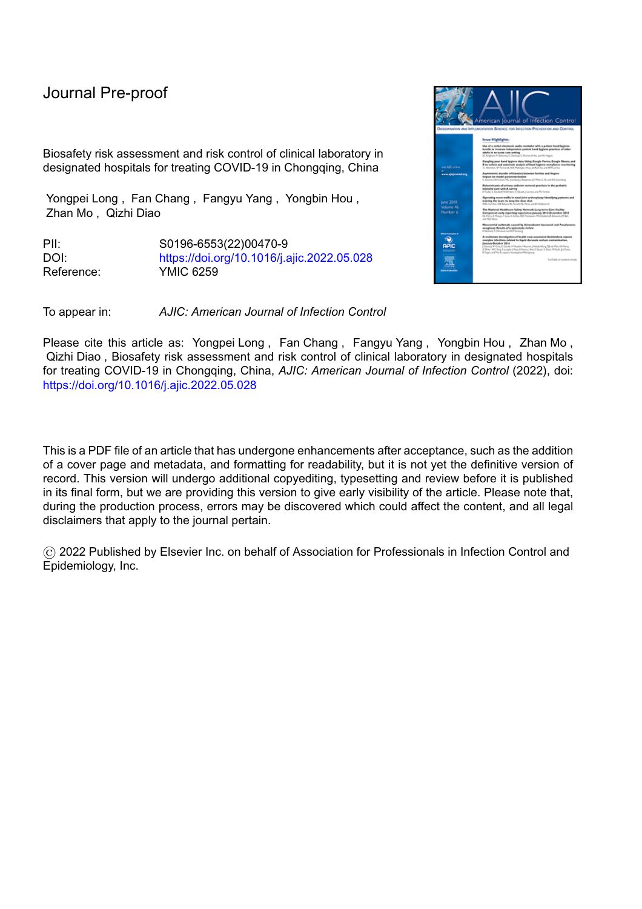received in a BSC, including respiratory culture specimens, nucleic acid testing specimens, blood specimens, etc. Subsequently, the surface of the specimen tube should be disinfected by spraying with 0.2% chlorine-containing disinfectant. If the specimen tube leaks during the receiving process, firstly dry it with absorbent paper, subsequently spray and disinfect the surface of the specimen tube and the absorbent paper with 0.55% chlorine-containing disinfectant. <sup>14</sup> All the staff should be trained and assessed according to the SOP.

- **14** An SOP should be established for specimen transport, which stipulates that the specimen must be triple-packed for transport. All the staff should be trained and must follow the protocol.
- **15** An SOP for specimen transport, cleaning and disposal of specimen spillage should be established. All staff should be trained and have to follow protocol. Spill drills should be conducted periodically.
- **16** An SOP for BSC should be established, which stipulates that before a person leaves the BSC, the arm located in the BSC must be disinfected by spraying with 75% alcohol. All the staff should be trained and assessed according to the SOP.
- **17** An SOP for nucleic acid extraction should be established. If the nucleic acid preservation solutions do not contain viral inactivators, the specimen tube must be incubated at 56 °C for more than 30 min before extraction, and be kept still for more than 10 min. Subsequently, the tube lid should be opened in the BSC to add specimens, and the testing personnel will conduct biosafety protection at level 2. On the contrary, if the nucleic acid preservation solutions contain viral inactivators, the above control measures do not need to be taken, and only biosafety protection at level 2 is carried out. All the staff should be trained and assessed according to the SOP.
- **18** An SOP for specimen spillage should be established. All the staff should be trained and assessed according to the SOP. Spill drills should be conducted periodically.
- **19** An SOP for specimen centrifugation should be established. After the centrifugation, it must be kept still for 10 min, and the lid should be opened in the BSC.
- **20** An SOP for specimen addition should be established. Regardless of whether the nucleic acid preservation solutions contain viral inactivators, the specimen addition of nucleic acid should be operated in a BSC. All the staff should be trained and assessed according to the SOP.
- **21** An SOP for specimen spillage should be established. All the staff should be trained and assessed according to the SOP. Spill drills are to be conducted periodically.
- **22** An SOP for testing fecal specimens should be established, which stipulates that fecal smears should be performed in a BSC, and personnel must wear goggles for biosafety protection at level 2.
- **23** An SOP for microscopic examination of fecal specimens should be established, which stipulates that the lens and stage of the microscope must be wiped and disinfected with 75% alcohol after each microscopic examination.
- **24** An SOP for testing fecal specimens should be established, which stipulates that fecal smears should be performed in a BSC; the specimen after testing must be doublepacked with sealed bags in a BSC and the surface should be sprayed with 75% alcohol, and subsequently taken out of the laboratory for autoclaving. The smears after microscopic examination should be placed in a glass jar containing 0.2% chlorine-containing disinfectant for immersion and disinfection. All the staff should be trained and assessed according to the SOP.
- **25** An SOP should be established for the observation of colonies of bacterial cultures, which stipulates that the observation of colonies must be carried out in a BSC, the operators should take the biosafety protection at level 2, and the incubator should be disinfected periodically. All the staff should be trained and assessed according to the SOP.
- **26** An SOP for waste disposal should be established, which stipulates that the waste generated by nucleic acid testing must be double-packed with sealed bags and subsequently taken out of the BSC for disposal as medical waste. All the staff should be trained and assessed according to the SOP.
- **27** An SOP for waste disposal should be established, which stipulates that the waste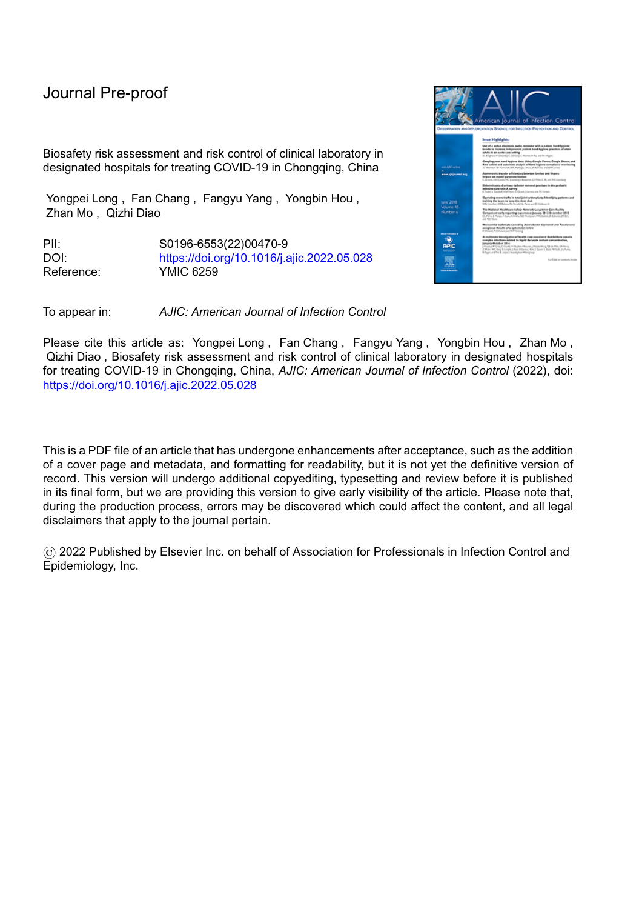l

generated by culture, identification, and antimicrobial susceptibility test must be double-packed with sealed bags and the surface should be sprayed with 75% alcohol, and subsequently taken out of the laboratory for autoclaving. Sharps, such as pipette tips or glass slides should be placed in a sharps box and then packed with a sealed bag, and then taken out of a BSC for autoclaving. All the staff should be trained and assessed according to the SOP. The disinfection process should be recorded, the disinfection effect should be monitored, and the autoclave should be calibrated periodically (as mentioned in item 4 of Table 3).

- **28** An SOP for waste disposal should be established, which stipulates that the specimens after testing should be double-packed with sealed bags and then stored in a refrigerator for preservation, and other wastes are to be double-packed with sealed bags and then taken out of the laboratory for disposal as medical waste. All the staff should be trained and assessed according to the SOP.
- **29** An SOP for specimen storage of nucleic acid of SARS-CoV-2 should be established, which stipulates that the specimens after testing should be covered and placed in a refrigerator with a lock in the clinical biomolecule room, and records should be made.
- **30** An SOP for microbial specimen storage should be established, which stipulates that the specimens after testing should not be stored. It should be autoclaved on the same day after being double-packed with sealed bags, and the handover records and disinfection records should be made.
- **31** A fishbone diagram method should be used to identify the risks existing in each test activity. The emergency procedures should be reviewed once a year and be continuously improved by filling gaps through finding the omissions.
- **32** The system of pre-job training for laboratory staff on emergency procedures should be established and all staff should be assessed. Yearly, the drill plan of emergency procedures should be made, and the drill script should be formulated; subsequently, drills should be carried out and the results of the drills should be summarized.

Notes: The wearing of single-layer latex gloves, work clothing, medical protective masks, and medical work caps is usually regarded as biosafety protection at level 2 in China.

### **Table 3. Control of laboratory biosafety risks**

### Discussion

Biosafety assessment includes biosafety identification and evaluation. When implementing biosafety risk assessment, a fishbone diagram method should be used to identify biosafety risks in each test activity. Each test activity involves elements including personnel, equipment, disinfectants, facilities and environment, patient specimens, and operating procedures. These elements should be considered when the biosafety risks are identified. For example, the risk of nucleic acid testing is currently low, owing to the use of nucleic acid preservation solutions containing viral inactivators; however, patients with COVID-19 may be complicated by diarrhea, bacterial or fungal infection of the respiratory tract during hospitalization. In addition to nucleic acid testing, other test activities are also carried out for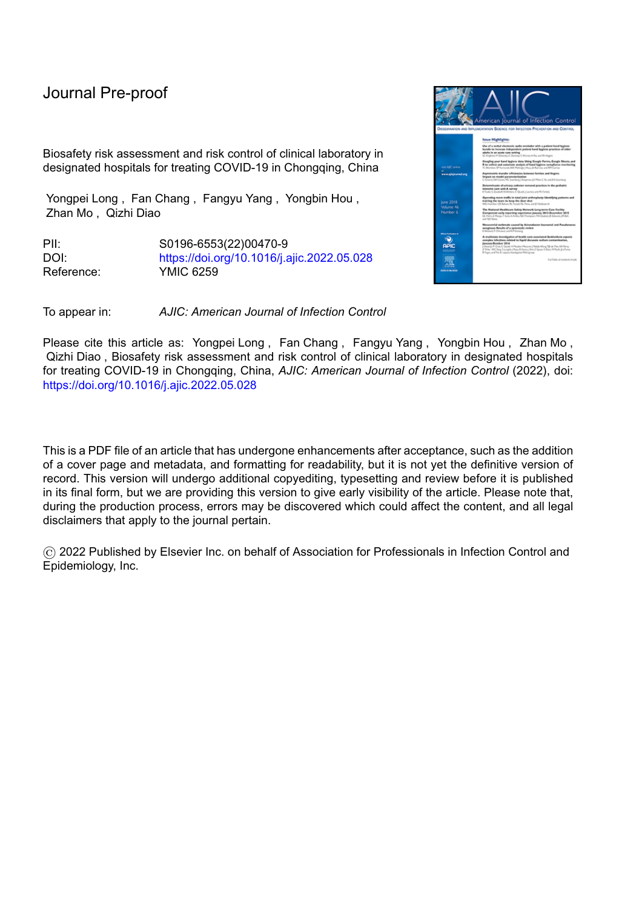l

patients with COVID-19 in the clinical laboratory of the designated hospitals for treating COVID-19, such as the culture of respiratory specimens and fecal specimens, routine testing of fecal and clinical hematology testing. It is worth noting that the SARS-CoV-2 in specimens of the above test activities are not inactivated before the specimens are sent to the clinical laboratory. Therefore, the laboratory management of designated hospitals for treating COVID-19 should also conduct the biosafety risk assessment and biosafety risk control for these test activities. Meanwhile, as can be seen from our risk assessment results, in addition to the nucleic acid testing of SARS-CoV-2, there are also huge biosafety risks in other test activities.

Biosafety risk assessment and biosafety risk control sometimes need to be repeated many times to improve. Especially for new viruses, since people gradually understand their biological characteristics, the biosafety risk assessment and biosafety risk control also improve accordingly. Therefore, the biosafety risk assessment and biosafety risk control for SARS-CoV-2 we carried out are also based on the gradual understanding of SARS-CoV-2, and we have restarted biosafety risk assessment several times to improve the control measures for biosafety risk.

The most important aspect of biosafety risk assessment is to take appropriate but not excessive control measures for biosafety risk against the risks of different hazard degrees, which can not only reduce the risk to an acceptable range but also save resources and improve the work efficiency. For the same pathogenic microorganism tested in different test activities, the hazard degrees of biosafety risk existing in those test activities are different, and they should be operated in laboratories with different biosafety levels. Therefore, it is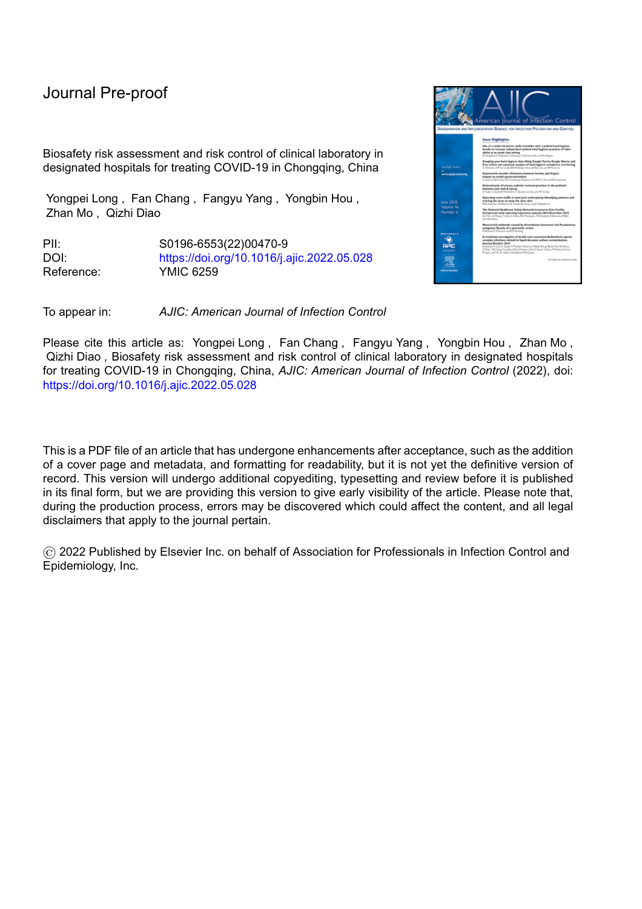l

inappropriate to unilaterally emphasize that the biosafety level of the laboratory should be consistent with the hazard level of pathogenic microorganisms tested in the laboratory. For example, the "Biosafety Guideline for Novel Coronavirus Laboratory (Second Edition)" promulgated by the Chinese health authorities stipulates that the virus culture and animal experiments for SARS-CoV-2 must be carried out in laboratories with a biosafety level above P3, while after virus inactivation, the detection activities and personnel biosafety protection are only required to be at level  $2<sup>15</sup>$  If we use biosafety protection at level 3, which is not based on the specific circumstances, it will not only waste limited medical resources but also reduce the efficiency of work. Especially in the early stages of the epidemic, the specimens after testing or amplified waste were asked for being autoclaved in a nucleic acid laboratory according to experts in China, which led to cross-contamination and the occurrence of nucleic acid false positive events in the laboratory. Chinese health authorities paid attention to such problems and made adjustments immediately, and promulgated the "Organizing and Implementing Guide for Nucleic Acid Testing of Novel Coronavirus for All Personnel (Second Edition)".<sup>16</sup> In addition, the "Laboratory Biosafety Manual (Fourth Edition)" published by WHO abolished the laboratory biosafety level, emphasized the importance of biosafety risk assessment, and the importance of formulating effective but not excessive control measures for biosafety risk according to own economic situation. <sup>6</sup> However, for the same test activity using different types of specimens or different processing methods of specimens, the hazard degrees of the biosafety risks in the test activity are also different. For example, whether the nucleic acid preservation solutions contain viral inactivators, such as guanidine salts and nucleic acid lysates, and whether the virus is inactivated before being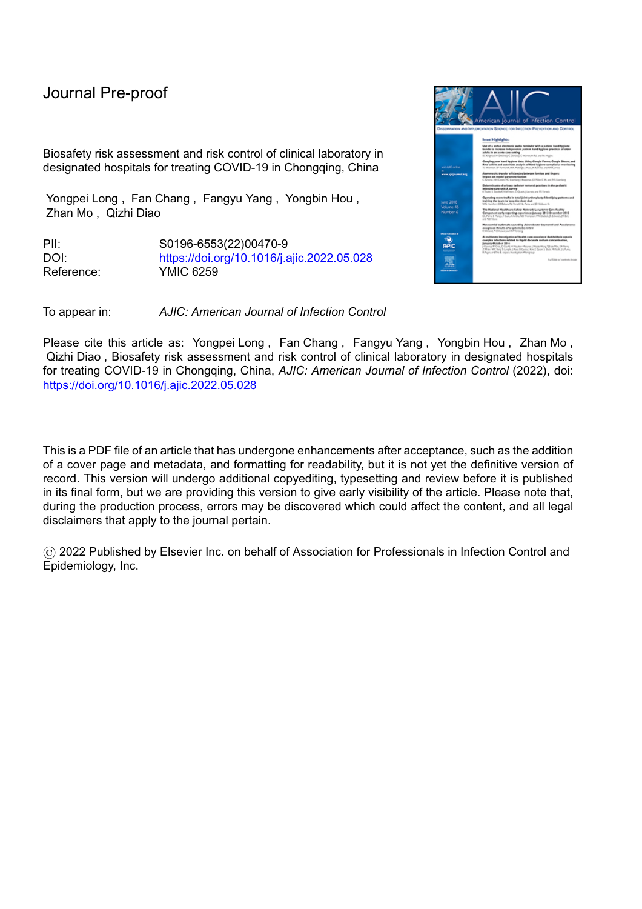l

tested, the corresponding biosafety risks in test activities are different. Therefore, protection measures and control measures for biosafety risk should also be formulated according to the risk assessment results. Conclusively, if the nucleic acid preservation solutions containing guanidine salts or nucleic acid lysates are used, or the virus is inactivated after specimen reception, there is a very low biosafety risk in the subsequent test activities, and the biosafety protection at level 2 is sufficient. In addition, Wu et al. reported that the detection rates of SARS-CoV-2 nucleic acid in the blood and fecal specimens were 3.03% and 9.83%, respectively, which were much lower than those of the nasopharyngeal swab and sputum specimens.<sup>17</sup> Therefore, the biosafety risks in the testing process for these four types of specimens are different, and the control measures for biosafety risks to be taken should also be different.

The appropriate control measures for biosafety risk should be formulated to reduce the hazard degree of risk from the two aspects of reducing risk severity and (or) probability of risk occurrence. Meanwhile, it is not necessary to reduce the risk to zero by conducting control measures for biosafety risk, but only to reduce the hazard degree of risk to an acceptable range of laboratory management. On the contrary, excessive control measures for biosafety risk will not only waste limited medical resources but also sacrifice the comfort of personnel and reduce the efficiency of work. Moreover, while considering reducing the hazard degree of biosafety risks, laboratory management should also pay attention to whether control measures will lead to cross-contamination during testing. Therefore, under the current situation of using nucleic acid preservation solutions containing guanidine salts or nucleic acid lysates, laboratory personnel engaged in testing nucleic acid of SARS-CoV-2 are at a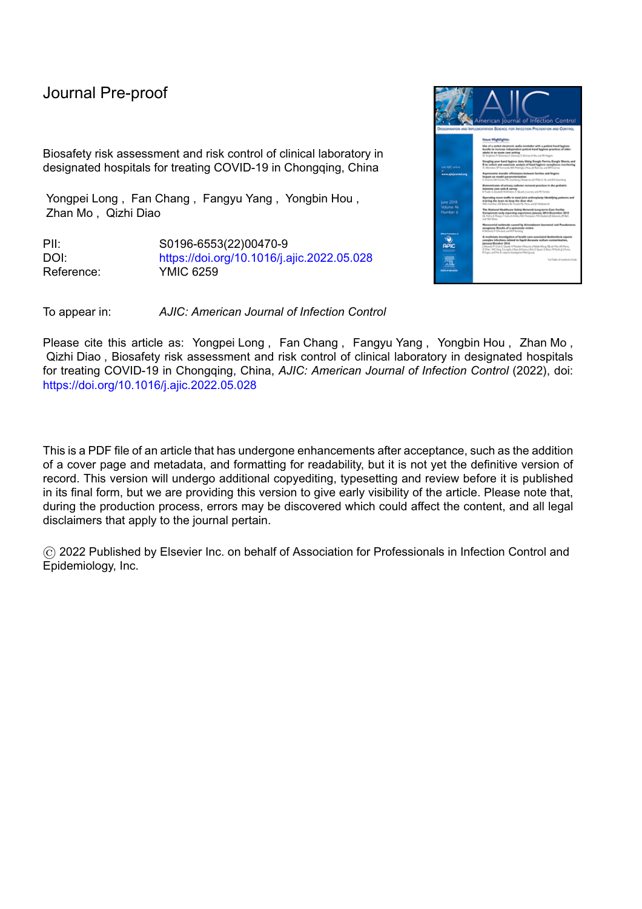l

low risk, where there is no need to adopt biosafety protection at level 3 for personnel. Specimens and wastes after testing can be directly transported out of the laboratory as medical waste after being double-packed and sealed without being autoclaved in the nucleic acid laboratory.

At present, although many laboratory management has emphasized biosafety assessment, but ignored biosafety risk management after the assessment. Even if the subsequent test activities or the pathogenic microorganisms exposed to the laboratory personnel had changed, the biosafety risk assessment was not restarted, and the biosafety risk control did not change accordingly. Biosafety risk management is based on self-inspection and dynamic monitoring. The appropriate times for biosafety risk assessment are before test activities are carried out in the laboratory, after the occurrence of biosafety incidents, and when deemed necessary during the risk monitoring process. Biosafety risk monitoring includes monitoring changes in test activity, pathogenic microorganisms involved, monitoring changes in the dose of pathogenic microorganisms used, specimen types, and monitoring for unidentified risks. After the laboratory risk assessment report is formed, risk monitoring is more important. For example, before the outbreak of COVID-19 in China, test activities in clinical laboratories were unlikely to be exposed to SARS-CoV-2. Therefore, biosafety risk assessment did not take into account the biosafety risks posed by SARS-CoV-2, and personnel adopted biosafety protection at level 2. When the COVID-19 epidemic occurred, laboratory management did not realize that the pathogenic microorganisms in the test specimens had changed and might contain SARS-CoV-2. Therefore, the biosafety risk assessment was not restarted, and the control measures for biosafety risk formulated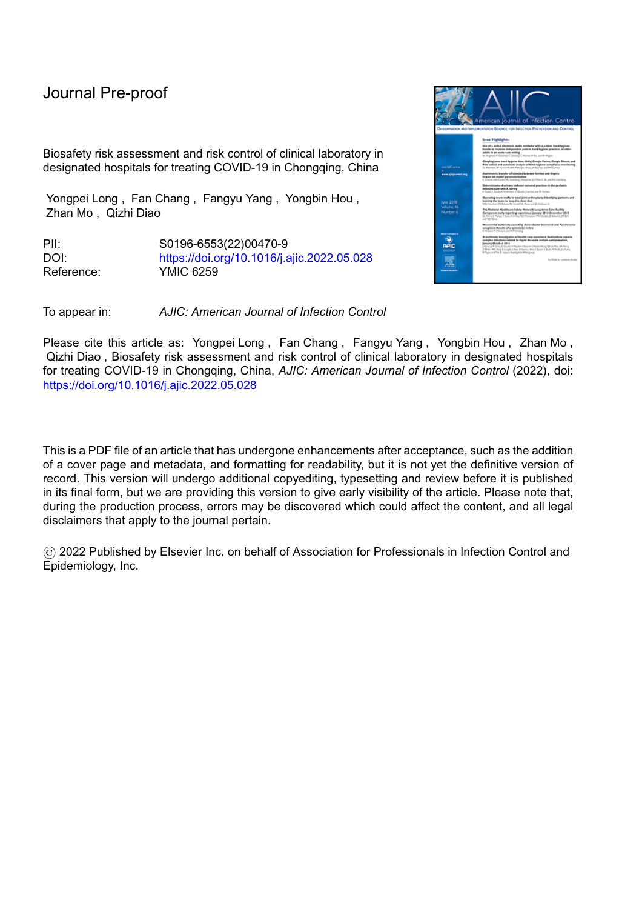l

originally were still used, which led to the infection of laboratory personnel with SARS-CoV-2 in the early stages of the epidemic in Wuhan. 4 In June 2020, viral inactivators were added to all nucleic acid preservation solutions for SARS-CoV-2 in China. The Chinese health authorities subsequently promulgated the biosafety protection standards and workflow for testing nucleic acid of SARS-CoV-2, in which the protection level of nucleic acid testing was reduced. The original protective measures included wearing N95 masks, double-layer latex gloves, goggles, shoe covers, isolation clothing, and protective clothing, which were changed to wearing medical protective masks, single-layer gloves, goggles, isolation clothing, or protective clothing, and shoe covers were optionally worn depending on the situation,<sup>18</sup> which improved comfort and work efficiency.

In addition, laboratory management should review the suitability of laboratory biosafety risk assessment and biosafety risk control on an annual basis and start risk assessment promptly, which is also a part of risk management.

# **Acknowledgment**

Thanks to all the health workers on the front line.

# **Financial support**

This project is supported by Chongqing Natural Science Foundation. (cstc2020jcyjmsxmX0237)

# **Conflicts of interest**

The authors declare no competing interests.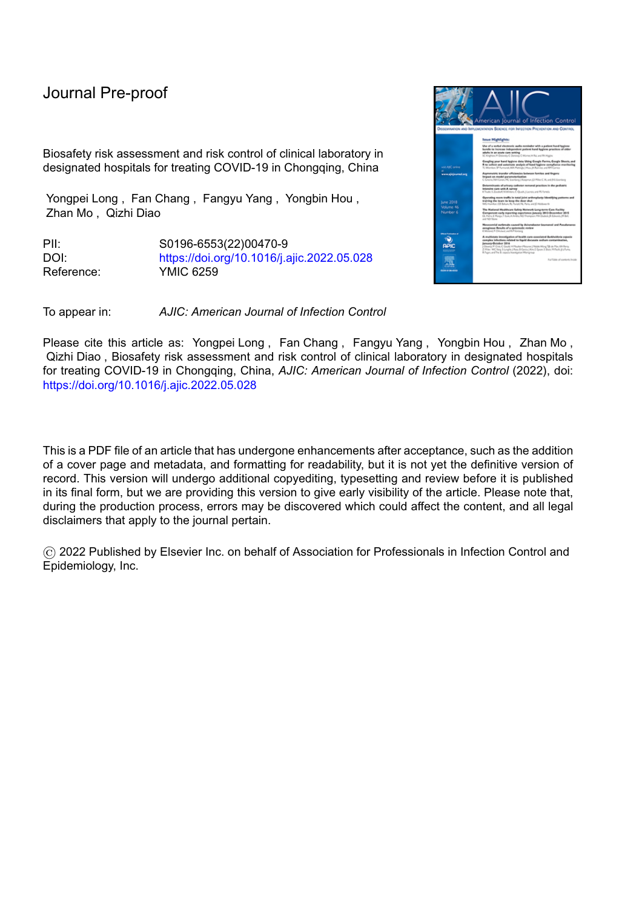## **References:**

[1] Wu JT, Leung K, Leung GM. Nowcasting and forecasting the potential domestic and international spread of the 2019 nCoV outbreak originating in Wuhan, China: a modelling study [published correction appears in Lancet. 2020 Feb 4;:]. Lancet. 2020;395(10225):689-697. doi:10.1016/S0140-6736(20)30260-9

[2] Hui DS, I Azhar E, Madani TA, Ntoumi F, Kock R, Dar O, et al. The continuing 2019-nCoV epidemic threat of novel coronaviruses to global health - The latest 2019 novel coronavirus outbreak in Wuhan, China. Int J Infect Dis. 2020;91:264- 266. doi:10.1016/j.ijid.2020.01.009

[3] Pan A, Liu L, Wang C, et al. Association of Public Health Interventions With the Epidemiology of the COVID-19 Outbreak in Wuhan, China. JAMA. 2020;323(19):1915-1923. doi:10.1001/jama.2020.6130

[4] Jin YH, Huang Q, Wang YY, Hao X, Wang Q, Huang J, et al. Perceived infection transmission routes, infection control practices, psychosocial changes, and management of COVID-19 infected healthcare workers in a tertiary acute care hospital in Wuhan: a cross-sectional survey. Mil Med Res. 2020;7(1):24. Published 2020 May 11. doi:10.1186/s40779-020-00254-8 [5] Na W, Park N, Yeom M, Song D. Ebola outbreak in Western Africa 2014: what is going on with Ebola virus?. Clin Exp Vaccine Res. 2015;4(1):17-22. doi:10.7774/cevr.2015.4.1.17

[6] World Health Organization. Laboratory biosafety manual, fourth edition. Geneva [Switzerland]: WHO Press; 2020. Available at: https://www.who.int/publications/i/item/9789240011311. Accessed on 21 December 2020.

[7] Hu B, Guo H, Zhou P, Shi ZL. Characteristics of SARS-CoV-2 and COVID-19 [published correction appears in Nat Rev Microbiol. 2022 May;20(5):315]. Nat Rev Microbiol. 2021;19(3):141-154. doi:10.1038/s41579-020-00459-7

[8] National Health Commission of the People's Republic of China, The Diagnosis and Treatment Plan for Novel Coronavirus Pneumonia (Fourth Trial Edition). [In Chinese] Available at:

http://www.nhc.gov.cn/yzygj/s7653p/202001/4294563ed35b43209b31739bd0785e67/files/7a9309111267475a99d4306962c

8bf78.pdf. Accessed on 27 January 2020.

[9] Pastorino B, Touret F, Gilles M, de Lamballerie X, Charrel RN. Heat Inactivation of Different Types of SARS-CoV-2 Samples: What Protocols for Biosafety, Molecular Detection and Serological Diagnostics?. Viruses. 2020;12(7):735. Published 2020 Jul 7. doi:10.3390/v12070735

[10] Kampf G, Todt D, Pfaender S, Steinmann E. Persistence of coronaviruses on inanimate surfaces and their inactivation with biocidal agents [published correction appears in J Hosp Infect. 2020 Jun 17;:]. J Hosp Infect. 2020;104(3):246-251. doi:10.1016/j.jhin.2020.01.022